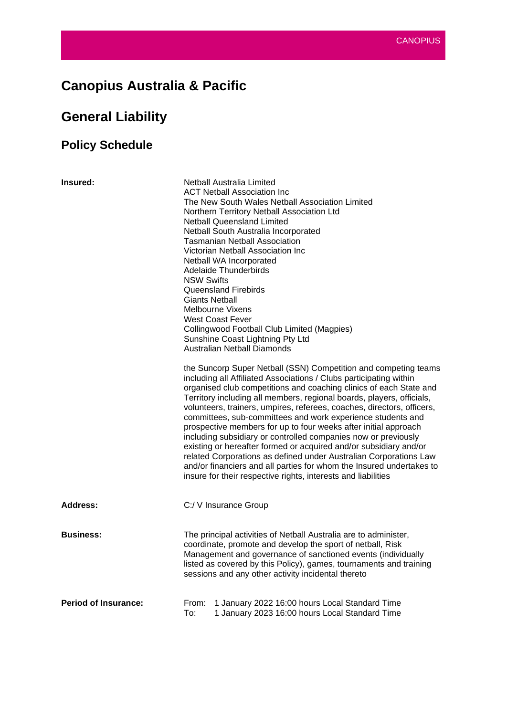# **Canopius Australia & Pacific**

# **General Liability**

## **Policy Schedule**

| Insured:                    | Netball Australia Limited<br><b>ACT Netball Association Inc</b><br>The New South Wales Netball Association Limited<br>Northern Territory Netball Association Ltd<br><b>Netball Queensland Limited</b><br>Netball South Australia Incorporated<br><b>Tasmanian Netball Association</b><br>Victorian Netball Association Inc<br>Netball WA Incorporated<br><b>Adelaide Thunderbirds</b><br><b>NSW Swifts</b><br>Queensland Firebirds<br><b>Giants Netball</b><br><b>Melbourne Vixens</b><br><b>West Coast Fever</b><br>Collingwood Football Club Limited (Magpies)<br>Sunshine Coast Lightning Pty Ltd<br>Australian Netball Diamonds<br>the Suncorp Super Netball (SSN) Competition and competing teams<br>including all Affiliated Associations / Clubs participating within<br>organised club competitions and coaching clinics of each State and<br>Territory including all members, regional boards, players, officials,<br>volunteers, trainers, umpires, referees, coaches, directors, officers,<br>committees, sub-committees and work experience students and<br>prospective members for up to four weeks after initial approach<br>including subsidiary or controlled companies now or previously<br>existing or hereafter formed or acquired and/or subsidiary and/or<br>related Corporations as defined under Australian Corporations Law<br>and/or financiers and all parties for whom the Insured undertakes to<br>insure for their respective rights, interests and liabilities |
|-----------------------------|----------------------------------------------------------------------------------------------------------------------------------------------------------------------------------------------------------------------------------------------------------------------------------------------------------------------------------------------------------------------------------------------------------------------------------------------------------------------------------------------------------------------------------------------------------------------------------------------------------------------------------------------------------------------------------------------------------------------------------------------------------------------------------------------------------------------------------------------------------------------------------------------------------------------------------------------------------------------------------------------------------------------------------------------------------------------------------------------------------------------------------------------------------------------------------------------------------------------------------------------------------------------------------------------------------------------------------------------------------------------------------------------------------------------------------------------------------------------------------------------|
| <b>Address:</b>             | C:/ V Insurance Group                                                                                                                                                                                                                                                                                                                                                                                                                                                                                                                                                                                                                                                                                                                                                                                                                                                                                                                                                                                                                                                                                                                                                                                                                                                                                                                                                                                                                                                                        |
| <b>Business:</b>            | The principal activities of Netball Australia are to administer,<br>coordinate, promote and develop the sport of netball, Risk<br>Management and governance of sanctioned events (individually<br>listed as covered by this Policy), games, tournaments and training<br>sessions and any other activity incidental thereto                                                                                                                                                                                                                                                                                                                                                                                                                                                                                                                                                                                                                                                                                                                                                                                                                                                                                                                                                                                                                                                                                                                                                                   |
| <b>Period of Insurance:</b> | From:<br>1 January 2022 16:00 hours Local Standard Time<br>To:<br>1 January 2023 16:00 hours Local Standard Time                                                                                                                                                                                                                                                                                                                                                                                                                                                                                                                                                                                                                                                                                                                                                                                                                                                                                                                                                                                                                                                                                                                                                                                                                                                                                                                                                                             |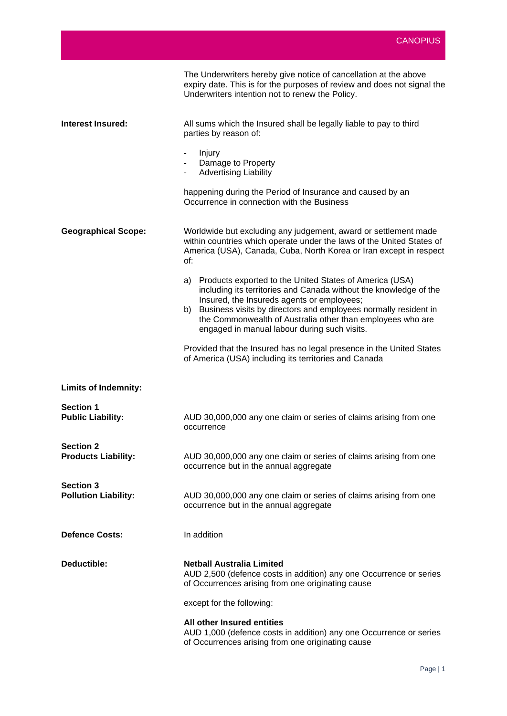|                                                 | The Underwriters hereby give notice of cancellation at the above<br>expiry date. This is for the purposes of review and does not signal the<br>Underwriters intention not to renew the Policy.                                                                                                                                                                          |
|-------------------------------------------------|-------------------------------------------------------------------------------------------------------------------------------------------------------------------------------------------------------------------------------------------------------------------------------------------------------------------------------------------------------------------------|
| <b>Interest Insured:</b>                        | All sums which the Insured shall be legally liable to pay to third<br>parties by reason of:                                                                                                                                                                                                                                                                             |
|                                                 | Injury<br>٠<br>Damage to Property<br><b>Advertising Liability</b><br>۰                                                                                                                                                                                                                                                                                                  |
|                                                 | happening during the Period of Insurance and caused by an<br>Occurrence in connection with the Business                                                                                                                                                                                                                                                                 |
| <b>Geographical Scope:</b>                      | Worldwide but excluding any judgement, award or settlement made<br>within countries which operate under the laws of the United States of<br>America (USA), Canada, Cuba, North Korea or Iran except in respect<br>of:                                                                                                                                                   |
|                                                 | Products exported to the United States of America (USA)<br>a)<br>including its territories and Canada without the knowledge of the<br>Insured, the Insureds agents or employees;<br>Business visits by directors and employees normally resident in<br>b)<br>the Commonwealth of Australia other than employees who are<br>engaged in manual labour during such visits. |
|                                                 | Provided that the Insured has no legal presence in the United States<br>of America (USA) including its territories and Canada                                                                                                                                                                                                                                           |
| <b>Limits of Indemnity:</b>                     |                                                                                                                                                                                                                                                                                                                                                                         |
| <b>Section 1</b><br><b>Public Liability:</b>    | AUD 30,000,000 any one claim or series of claims arising from one<br>occurrence                                                                                                                                                                                                                                                                                         |
| <b>Section 2</b><br><b>Products Liability:</b>  | AUD 30,000,000 any one claim or series of claims arising from one<br>occurrence but in the annual aggregate                                                                                                                                                                                                                                                             |
| <b>Section 3</b><br><b>Pollution Liability:</b> | AUD 30,000,000 any one claim or series of claims arising from one<br>occurrence but in the annual aggregate                                                                                                                                                                                                                                                             |
| <b>Defence Costs:</b>                           | In addition                                                                                                                                                                                                                                                                                                                                                             |
| Deductible:                                     | <b>Netball Australia Limited</b><br>AUD 2,500 (defence costs in addition) any one Occurrence or series<br>of Occurrences arising from one originating cause                                                                                                                                                                                                             |
|                                                 | except for the following:                                                                                                                                                                                                                                                                                                                                               |
|                                                 | All other Insured entities<br>AUD 1,000 (defence costs in addition) any one Occurrence or series<br>of Occurrences arising from one originating cause                                                                                                                                                                                                                   |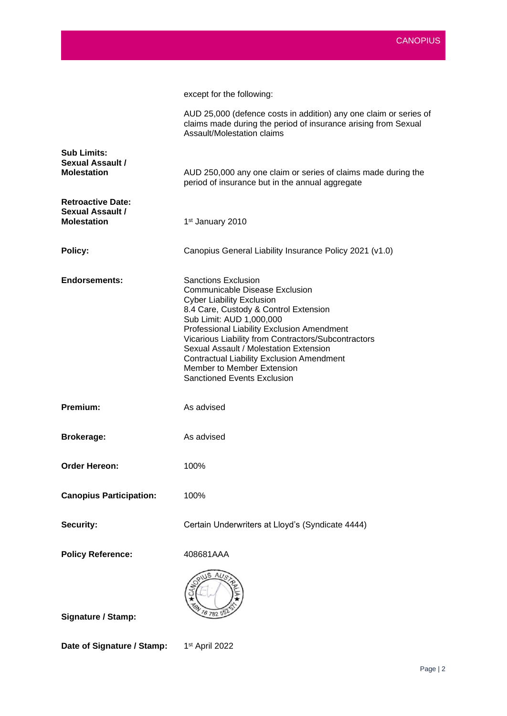|  |  | except for the following: |
|--|--|---------------------------|
|--|--|---------------------------|

|                                                                     | AUD 25,000 (defence costs in addition) any one claim or series of<br>claims made during the period of insurance arising from Sexual<br>Assault/Molestation claims                                                                                                                                                                                                                                                              |
|---------------------------------------------------------------------|--------------------------------------------------------------------------------------------------------------------------------------------------------------------------------------------------------------------------------------------------------------------------------------------------------------------------------------------------------------------------------------------------------------------------------|
| <b>Sub Limits:</b><br><b>Sexual Assault /</b><br><b>Molestation</b> | AUD 250,000 any one claim or series of claims made during the<br>period of insurance but in the annual aggregate                                                                                                                                                                                                                                                                                                               |
| <b>Retroactive Date:</b><br>Sexual Assault /<br><b>Molestation</b>  | 1st January 2010                                                                                                                                                                                                                                                                                                                                                                                                               |
| Policy:                                                             | Canopius General Liability Insurance Policy 2021 (v1.0)                                                                                                                                                                                                                                                                                                                                                                        |
| <b>Endorsements:</b>                                                | Sanctions Exclusion<br>Communicable Disease Exclusion<br><b>Cyber Liability Exclusion</b><br>8.4 Care, Custody & Control Extension<br>Sub Limit: AUD 1,000,000<br>Professional Liability Exclusion Amendment<br>Vicarious Liability from Contractors/Subcontractors<br>Sexual Assault / Molestation Extension<br><b>Contractual Liability Exclusion Amendment</b><br>Member to Member Extension<br>Sanctioned Events Exclusion |
| Premium:                                                            | As advised                                                                                                                                                                                                                                                                                                                                                                                                                     |
| <b>Brokerage:</b>                                                   | As advised                                                                                                                                                                                                                                                                                                                                                                                                                     |
| <b>Order Hereon:</b>                                                | 100%                                                                                                                                                                                                                                                                                                                                                                                                                           |
| <b>Canopius Participation:</b>                                      | 100%                                                                                                                                                                                                                                                                                                                                                                                                                           |
| <b>Security:</b>                                                    | Certain Underwriters at Lloyd's (Syndicate 4444)                                                                                                                                                                                                                                                                                                                                                                               |
| <b>Policy Reference:</b>                                            | 408681AAA                                                                                                                                                                                                                                                                                                                                                                                                                      |
| Signature / Stamp:                                                  | 6 782 5                                                                                                                                                                                                                                                                                                                                                                                                                        |

Date of Signature / Stamp: 1<sup>st</sup> April 2022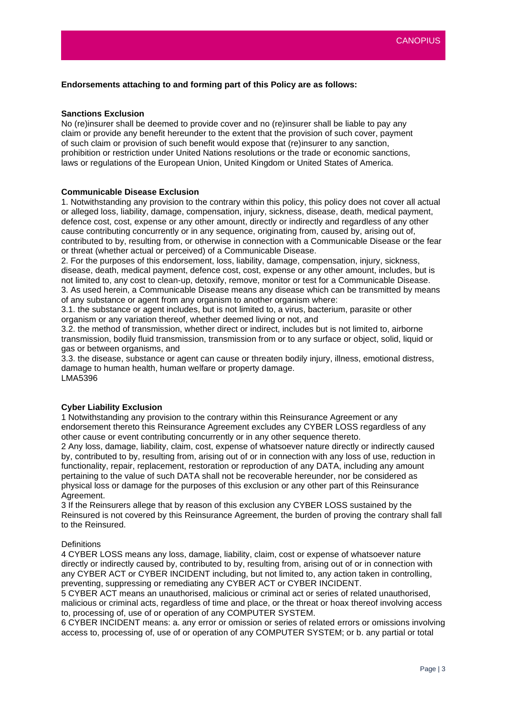#### **Endorsements attaching to and forming part of this Policy are as follows:**

#### **Sanctions Exclusion**

No (re)insurer shall be deemed to provide cover and no (re)insurer shall be liable to pay any claim or provide any benefit hereunder to the extent that the provision of such cover, payment of such claim or provision of such benefit would expose that (re)insurer to any sanction, prohibition or restriction under United Nations resolutions or the trade or economic sanctions, laws or regulations of the European Union, United Kingdom or United States of America.

#### **Communicable Disease Exclusion**

1. Notwithstanding any provision to the contrary within this policy, this policy does not cover all actual or alleged loss, liability, damage, compensation, injury, sickness, disease, death, medical payment, defence cost, cost, expense or any other amount, directly or indirectly and regardless of any other cause contributing concurrently or in any sequence, originating from, caused by, arising out of, contributed to by, resulting from, or otherwise in connection with a Communicable Disease or the fear or threat (whether actual or perceived) of a Communicable Disease.

2. For the purposes of this endorsement, loss, liability, damage, compensation, injury, sickness, disease, death, medical payment, defence cost, cost, expense or any other amount, includes, but is not limited to, any cost to clean-up, detoxify, remove, monitor or test for a Communicable Disease. 3. As used herein, a Communicable Disease means any disease which can be transmitted by means of any substance or agent from any organism to another organism where:

3.1. the substance or agent includes, but is not limited to, a virus, bacterium, parasite or other organism or any variation thereof, whether deemed living or not, and

3.2. the method of transmission, whether direct or indirect, includes but is not limited to, airborne transmission, bodily fluid transmission, transmission from or to any surface or object, solid, liquid or gas or between organisms, and

3.3. the disease, substance or agent can cause or threaten bodily injury, illness, emotional distress, damage to human health, human welfare or property damage.

LMA5396

#### **Cyber Liability Exclusion**

1 Notwithstanding any provision to the contrary within this Reinsurance Agreement or any endorsement thereto this Reinsurance Agreement excludes any CYBER LOSS regardless of any other cause or event contributing concurrently or in any other sequence thereto.

2 Any loss, damage, liability, claim, cost, expense of whatsoever nature directly or indirectly caused by, contributed to by, resulting from, arising out of or in connection with any loss of use, reduction in functionality, repair, replacement, restoration or reproduction of any DATA, including any amount pertaining to the value of such DATA shall not be recoverable hereunder, nor be considered as physical loss or damage for the purposes of this exclusion or any other part of this Reinsurance Agreement.

3 If the Reinsurers allege that by reason of this exclusion any CYBER LOSS sustained by the Reinsured is not covered by this Reinsurance Agreement, the burden of proving the contrary shall fall to the Reinsured.

#### **Definitions**

4 CYBER LOSS means any loss, damage, liability, claim, cost or expense of whatsoever nature directly or indirectly caused by, contributed to by, resulting from, arising out of or in connection with any CYBER ACT or CYBER INCIDENT including, but not limited to, any action taken in controlling, preventing, suppressing or remediating any CYBER ACT or CYBER INCIDENT.

5 CYBER ACT means an unauthorised, malicious or criminal act or series of related unauthorised, malicious or criminal acts, regardless of time and place, or the threat or hoax thereof involving access to, processing of, use of or operation of any COMPUTER SYSTEM.

6 CYBER INCIDENT means: a. any error or omission or series of related errors or omissions involving access to, processing of, use of or operation of any COMPUTER SYSTEM; or b. any partial or total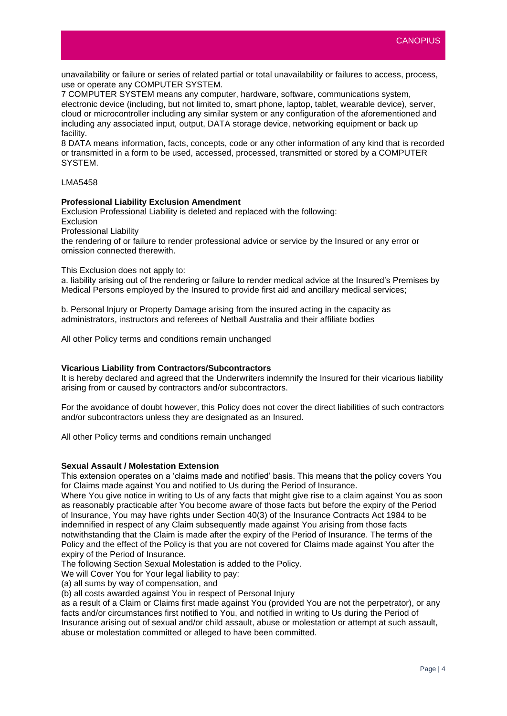unavailability or failure or series of related partial or total unavailability or failures to access, process, use or operate any COMPUTER SYSTEM.

7 COMPUTER SYSTEM means any computer, hardware, software, communications system, electronic device (including, but not limited to, smart phone, laptop, tablet, wearable device), server, cloud or microcontroller including any similar system or any configuration of the aforementioned and including any associated input, output, DATA storage device, networking equipment or back up facility.

8 DATA means information, facts, concepts, code or any other information of any kind that is recorded or transmitted in a form to be used, accessed, processed, transmitted or stored by a COMPUTER SYSTEM.

#### LMA5458

#### **Professional Liability Exclusion Amendment**

Exclusion Professional Liability is deleted and replaced with the following: Exclusion

Professional Liability

the rendering of or failure to render professional advice or service by the Insured or any error or omission connected therewith.

This Exclusion does not apply to:

a. liability arising out of the rendering or failure to render medical advice at the Insured's Premises by Medical Persons employed by the Insured to provide first aid and ancillary medical services;

b. Personal Injury or Property Damage arising from the insured acting in the capacity as administrators, instructors and referees of Netball Australia and their affiliate bodies

All other Policy terms and conditions remain unchanged

#### **Vicarious Liability from Contractors/Subcontractors**

It is hereby declared and agreed that the Underwriters indemnify the Insured for their vicarious liability arising from or caused by contractors and/or subcontractors.

For the avoidance of doubt however, this Policy does not cover the direct liabilities of such contractors and/or subcontractors unless they are designated as an Insured.

All other Policy terms and conditions remain unchanged

#### **Sexual Assault / Molestation Extension**

This extension operates on a 'claims made and notified' basis. This means that the policy covers You for Claims made against You and notified to Us during the Period of Insurance.

Where You give notice in writing to Us of any facts that might give rise to a claim against You as soon as reasonably practicable after You become aware of those facts but before the expiry of the Period of Insurance, You may have rights under Section 40(3) of the Insurance Contracts Act 1984 to be indemnified in respect of any Claim subsequently made against You arising from those facts notwithstanding that the Claim is made after the expiry of the Period of Insurance. The terms of the Policy and the effect of the Policy is that you are not covered for Claims made against You after the expiry of the Period of Insurance.

The following Section Sexual Molestation is added to the Policy.

We will Cover You for Your legal liability to pay:

(a) all sums by way of compensation, and

(b) all costs awarded against You in respect of Personal Injury

as a result of a Claim or Claims first made against You (provided You are not the perpetrator), or any facts and/or circumstances first notified to You, and notified in writing to Us during the Period of Insurance arising out of sexual and/or child assault, abuse or molestation or attempt at such assault, abuse or molestation committed or alleged to have been committed.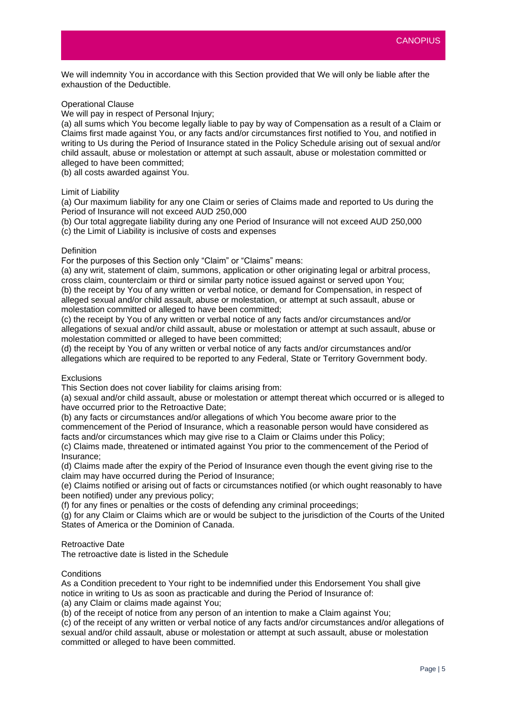We will indemnity You in accordance with this Section provided that We will only be liable after the exhaustion of the Deductible.

#### Operational Clause

We will pay in respect of Personal Injury;

(a) all sums which You become legally liable to pay by way of Compensation as a result of a Claim or Claims first made against You, or any facts and/or circumstances first notified to You, and notified in writing to Us during the Period of Insurance stated in the Policy Schedule arising out of sexual and/or child assault, abuse or molestation or attempt at such assault, abuse or molestation committed or alleged to have been committed;

(b) all costs awarded against You.

Limit of Liability

(a) Our maximum liability for any one Claim or series of Claims made and reported to Us during the Period of Insurance will not exceed AUD 250,000

(b) Our total aggregate liability during any one Period of Insurance will not exceed AUD 250,000 (c) the Limit of Liability is inclusive of costs and expenses

#### **Definition**

For the purposes of this Section only "Claim" or "Claims" means:

(a) any writ, statement of claim, summons, application or other originating legal or arbitral process, cross claim, counterclaim or third or similar party notice issued against or served upon You; (b) the receipt by You of any written or verbal notice, or demand for Compensation, in respect of alleged sexual and/or child assault, abuse or molestation, or attempt at such assault, abuse or molestation committed or alleged to have been committed;

(c) the receipt by You of any written or verbal notice of any facts and/or circumstances and/or allegations of sexual and/or child assault, abuse or molestation or attempt at such assault, abuse or molestation committed or alleged to have been committed;

(d) the receipt by You of any written or verbal notice of any facts and/or circumstances and/or allegations which are required to be reported to any Federal, State or Territory Government body.

#### **Exclusions**

This Section does not cover liability for claims arising from:

(a) sexual and/or child assault, abuse or molestation or attempt thereat which occurred or is alleged to have occurred prior to the Retroactive Date;

(b) any facts or circumstances and/or allegations of which You become aware prior to the commencement of the Period of Insurance, which a reasonable person would have considered as facts and/or circumstances which may give rise to a Claim or Claims under this Policy;

(c) Claims made, threatened or intimated against You prior to the commencement of the Period of Insurance;

(d) Claims made after the expiry of the Period of Insurance even though the event giving rise to the claim may have occurred during the Period of Insurance;

(e) Claims notified or arising out of facts or circumstances notified (or which ought reasonably to have been notified) under any previous policy;

(f) for any fines or penalties or the costs of defending any criminal proceedings;

(g) for any Claim or Claims which are or would be subject to the jurisdiction of the Courts of the United States of America or the Dominion of Canada.

#### Retroactive Date

The retroactive date is listed in the Schedule

#### **Conditions**

As a Condition precedent to Your right to be indemnified under this Endorsement You shall give notice in writing to Us as soon as practicable and during the Period of Insurance of:

(a) any Claim or claims made against You;

(b) of the receipt of notice from any person of an intention to make a Claim against You;

(c) of the receipt of any written or verbal notice of any facts and/or circumstances and/or allegations of sexual and/or child assault, abuse or molestation or attempt at such assault, abuse or molestation committed or alleged to have been committed.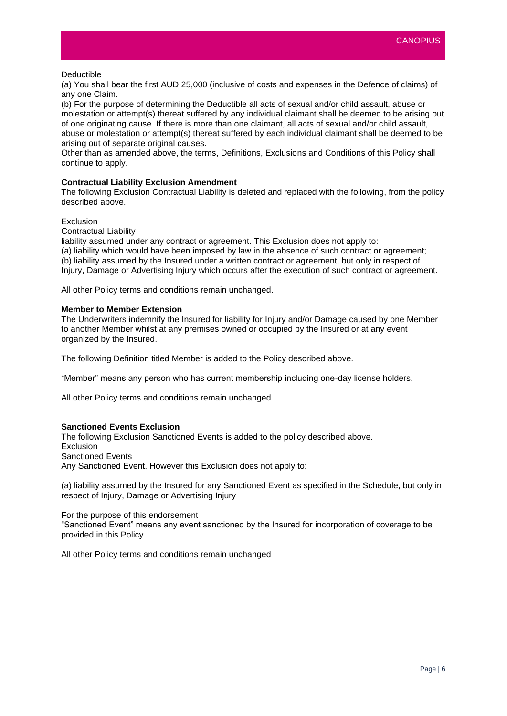#### Deductible

(a) You shall bear the first AUD 25,000 (inclusive of costs and expenses in the Defence of claims) of any one Claim.

(b) For the purpose of determining the Deductible all acts of sexual and/or child assault, abuse or molestation or attempt(s) thereat suffered by any individual claimant shall be deemed to be arising out of one originating cause. If there is more than one claimant, all acts of sexual and/or child assault, abuse or molestation or attempt(s) thereat suffered by each individual claimant shall be deemed to be arising out of separate original causes.

Other than as amended above, the terms, Definitions, Exclusions and Conditions of this Policy shall continue to apply.

#### **Contractual Liability Exclusion Amendment**

The following Exclusion Contractual Liability is deleted and replaced with the following, from the policy described above.

#### Exclusion

Contractual Liability

liability assumed under any contract or agreement. This Exclusion does not apply to: (a) liability which would have been imposed by law in the absence of such contract or agreement; (b) liability assumed by the Insured under a written contract or agreement, but only in respect of Injury, Damage or Advertising Injury which occurs after the execution of such contract or agreement.

All other Policy terms and conditions remain unchanged.

#### **Member to Member Extension**

The Underwriters indemnify the Insured for liability for Injury and/or Damage caused by one Member to another Member whilst at any premises owned or occupied by the Insured or at any event organized by the Insured.

The following Definition titled Member is added to the Policy described above.

"Member" means any person who has current membership including one-day license holders.

All other Policy terms and conditions remain unchanged

#### **Sanctioned Events Exclusion**

The following Exclusion Sanctioned Events is added to the policy described above. Exclusion Sanctioned Events Any Sanctioned Event. However this Exclusion does not apply to:

(a) liability assumed by the Insured for any Sanctioned Event as specified in the Schedule, but only in respect of Injury, Damage or Advertising Injury

For the purpose of this endorsement

"Sanctioned Event" means any event sanctioned by the Insured for incorporation of coverage to be provided in this Policy.

All other Policy terms and conditions remain unchanged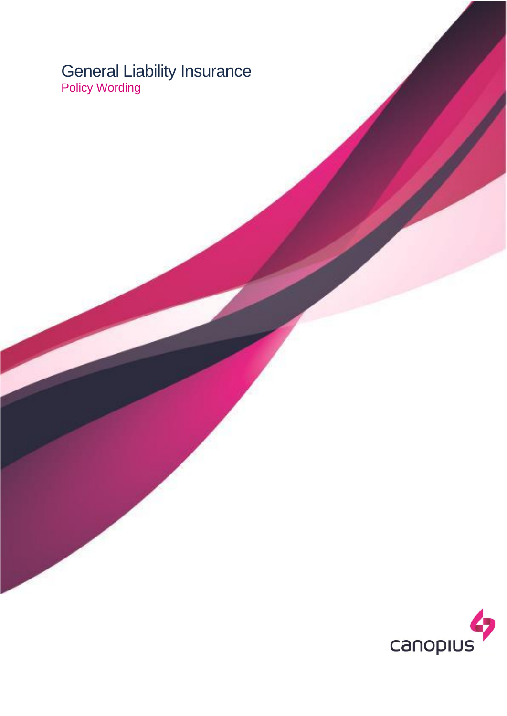### General Liability Insurance Policy Wording

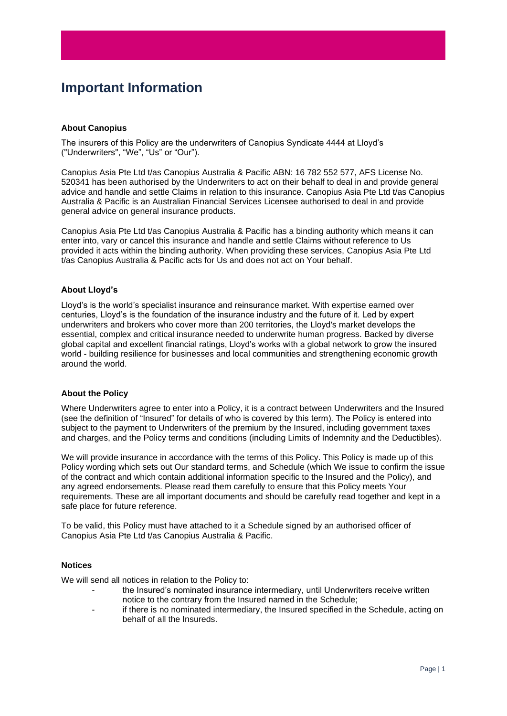### **Important Information**

#### <span id="page-8-0"></span>**About Canopius**

The insurers of this Policy are the underwriters of Canopius Syndicate 4444 at Lloyd's ("Underwriters", "We", "Us" or "Our").

Canopius Asia Pte Ltd t/as Canopius Australia & Pacific ABN: 16 782 552 577, AFS License No. 520341 has been authorised by the Underwriters to act on their behalf to deal in and provide general advice and handle and settle Claims in relation to this insurance. Canopius Asia Pte Ltd t/as Canopius Australia & Pacific is an Australian Financial Services Licensee authorised to deal in and provide general advice on general insurance products.

Canopius Asia Pte Ltd t/as Canopius Australia & Pacific has a binding authority which means it can enter into, vary or cancel this insurance and handle and settle Claims without reference to Us provided it acts within the binding authority. When providing these services, Canopius Asia Pte Ltd t/as Canopius Australia & Pacific acts for Us and does not act on Your behalf.

#### <span id="page-8-1"></span>**About Lloyd's**

Lloyd's is the world's specialist insurance and reinsurance market. With expertise earned over centuries, Lloyd's is the foundation of the insurance industry and the future of it. Led by expert underwriters and brokers who cover more than 200 territories, the Lloyd's market develops the essential, complex and critical insurance needed to underwrite human progress. Backed by diverse global capital and excellent financial ratings, Lloyd's works with a global network to grow the insured world - building resilience for businesses and local communities and strengthening economic growth around the world.

#### <span id="page-8-2"></span>**About the Policy**

Where Underwriters agree to enter into a Policy, it is a contract between Underwriters and the Insured (see the definition of "Insured" for details of who is covered by this term). The Policy is entered into subject to the payment to Underwriters of the premium by the Insured, including government taxes and charges, and the Policy terms and conditions (including Limits of Indemnity and the Deductibles).

We will provide insurance in accordance with the terms of this Policy. This Policy is made up of this Policy wording which sets out Our standard terms, and Schedule (which We issue to confirm the issue of the contract and which contain additional information specific to the Insured and the Policy), and any agreed endorsements. Please read them carefully to ensure that this Policy meets Your requirements. These are all important documents and should be carefully read together and kept in a safe place for future reference.

To be valid, this Policy must have attached to it a Schedule signed by an authorised officer of Canopius Asia Pte Ltd t/as Canopius Australia & Pacific.

#### <span id="page-8-3"></span>**Notices**

We will send all notices in relation to the Policy to:

- the Insured's nominated insurance intermediary, until Underwriters receive written notice to the contrary from the Insured named in the Schedule;
- if there is no nominated intermediary, the Insured specified in the Schedule, acting on behalf of all the Insureds.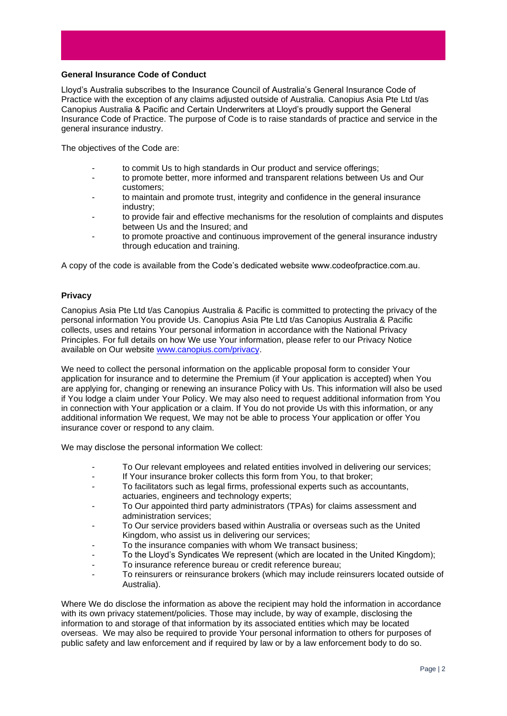#### <span id="page-9-0"></span>**General Insurance Code of Conduct**

Lloyd's Australia subscribes to the Insurance Council of Australia's General Insurance Code of Practice with the exception of any claims adjusted outside of Australia. Canopius Asia Pte Ltd t/as Canopius Australia & Pacific and Certain Underwriters at Lloyd's proudly support the General Insurance Code of Practice. The purpose of Code is to raise standards of practice and service in the general insurance industry.

The objectives of the Code are:

- to commit Us to high standards in Our product and service offerings;
- to promote better, more informed and transparent relations between Us and Our customers;
- to maintain and promote trust, integrity and confidence in the general insurance industry;
- to provide fair and effective mechanisms for the resolution of complaints and disputes between Us and the Insured; and
- to promote proactive and continuous improvement of the general insurance industry through education and training.

A copy of the code is available from the Code's dedicated website www.codeofpractice.com.au.

#### <span id="page-9-1"></span>**Privacy**

Canopius Asia Pte Ltd t/as Canopius Australia & Pacific is committed to protecting the privacy of the personal information You provide Us. Canopius Asia Pte Ltd t/as Canopius Australia & Pacific collects, uses and retains Your personal information in accordance with the National Privacy Principles. For full details on how We use Your information, please refer to our Privacy Notice available on Our website [www.canopius.com/privacy.](http://www.canopius.com/privacy)

We need to collect the personal information on the applicable proposal form to consider Your application for insurance and to determine the Premium (if Your application is accepted) when You are applying for, changing or renewing an insurance Policy with Us. This information will also be used if You lodge a claim under Your Policy. We may also need to request additional information from You in connection with Your application or a claim. If You do not provide Us with this information, or any additional information We request, We may not be able to process Your application or offer You insurance cover or respond to any claim.

We may disclose the personal information We collect:

- To Our relevant employees and related entities involved in delivering our services;
- If Your insurance broker collects this form from You, to that broker;
- To facilitators such as legal firms, professional experts such as accountants, actuaries, engineers and technology experts;
- To Our appointed third party administrators (TPAs) for claims assessment and administration services;
- To Our service providers based within Australia or overseas such as the United Kingdom, who assist us in delivering our services;
- To the insurance companies with whom We transact business:
- To the Lloyd's Syndicates We represent (which are located in the United Kingdom);
- To insurance reference bureau or credit reference bureau;
- To reinsurers or reinsurance brokers (which may include reinsurers located outside of Australia).

Where We do disclose the information as above the recipient may hold the information in accordance with its own privacy statement/policies. Those may include, by way of example, disclosing the information to and storage of that information by its associated entities which may be located overseas. We may also be required to provide Your personal information to others for purposes of public safety and law enforcement and if required by law or by a law enforcement body to do so.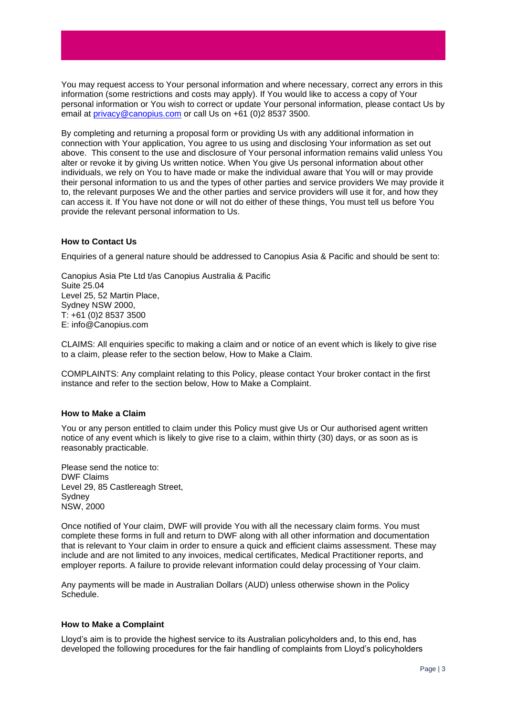You may request access to Your personal information and where necessary, correct any errors in this information (some restrictions and costs may apply). If You would like to access a copy of Your personal information or You wish to correct or update Your personal information, please contact Us by email at [privacy@canopius.com](mailto:privacy@canopius.com) or call Us on +61 (0)2 8537 3500.

By completing and returning a proposal form or providing Us with any additional information in connection with Your application, You agree to us using and disclosing Your information as set out above. This consent to the use and disclosure of Your personal information remains valid unless You alter or revoke it by giving Us written notice. When You give Us personal information about other individuals, we rely on You to have made or make the individual aware that You will or may provide their personal information to us and the types of other parties and service providers We may provide it to, the relevant purposes We and the other parties and service providers will use it for, and how they can access it. If You have not done or will not do either of these things, You must tell us before You provide the relevant personal information to Us.

#### <span id="page-10-0"></span>**How to Contact Us**

Enquiries of a general nature should be addressed to Canopius Asia & Pacific and should be sent to:

Canopius Asia Pte Ltd t/as Canopius Australia & Pacific Suite 25.04 Level 25, 52 Martin Place, Sydney NSW 2000, T: +61 (0)2 8537 3500 E: info@Canopius.com

CLAIMS: All enquiries specific to making a claim and or notice of an event which is likely to give rise to a claim, please refer to the section below, How to Make a Claim.

COMPLAINTS: Any complaint relating to this Policy, please contact Your broker contact in the first instance and refer to the section below, How to Make a Complaint.

#### <span id="page-10-1"></span>**How to Make a Claim**

You or any person entitled to claim under this Policy must give Us or Our authorised agent written notice of any event which is likely to give rise to a claim, within thirty (30) days, or as soon as is reasonably practicable.

Please send the notice to: DWF Claims Level 29, 85 Castlereagh Street, Sydney NSW, 2000

Once notified of Your claim, DWF will provide You with all the necessary claim forms. You must complete these forms in full and return to DWF along with all other information and documentation that is relevant to Your claim in order to ensure a quick and efficient claims assessment. These may include and are not limited to any invoices, medical certificates, Medical Practitioner reports, and employer reports. A failure to provide relevant information could delay processing of Your claim.

Any payments will be made in Australian Dollars (AUD) unless otherwise shown in the Policy Schedule.

#### <span id="page-10-2"></span>**How to Make a Complaint**

Lloyd's aim is to provide the highest service to its Australian policyholders and, to this end, has developed the following procedures for the fair handling of complaints from Lloyd's policyholders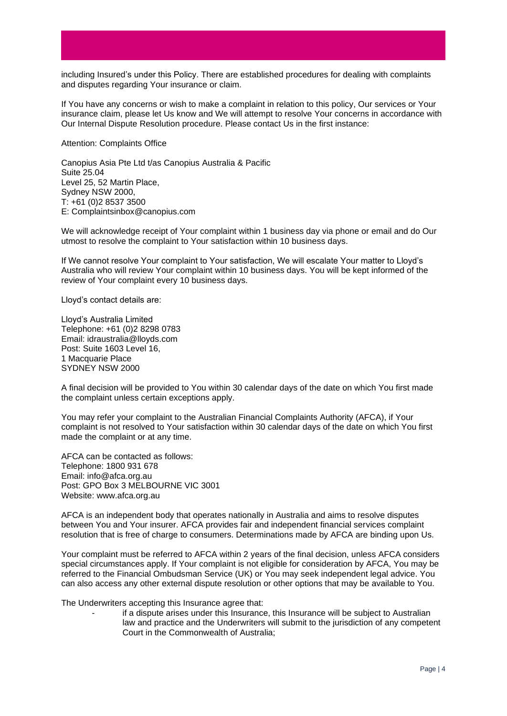including Insured's under this Policy. There are established procedures for dealing with complaints and disputes regarding Your insurance or claim.

If You have any concerns or wish to make a complaint in relation to this policy, Our services or Your insurance claim, please let Us know and We will attempt to resolve Your concerns in accordance with Our Internal Dispute Resolution procedure. Please contact Us in the first instance:

Attention: Complaints Office

Canopius Asia Pte Ltd t/as Canopius Australia & Pacific Suite 25.04 Level 25, 52 Martin Place, Sydney NSW 2000, T: +61 (0)2 8537 3500 E: Complaintsinbox@canopius.com

We will acknowledge receipt of Your complaint within 1 business day via phone or email and do Our utmost to resolve the complaint to Your satisfaction within 10 business days.

If We cannot resolve Your complaint to Your satisfaction, We will escalate Your matter to Lloyd's Australia who will review Your complaint within 10 business days. You will be kept informed of the review of Your complaint every 10 business days.

Lloyd's contact details are:

Lloyd's Australia Limited Telephone: +61 (0)2 8298 0783 Email: idraustralia@lloyds.com Post: Suite 1603 Level 16, 1 Macquarie Place SYDNEY NSW 2000

A final decision will be provided to You within 30 calendar days of the date on which You first made the complaint unless certain exceptions apply.

You may refer your complaint to the Australian Financial Complaints Authority (AFCA), if Your complaint is not resolved to Your satisfaction within 30 calendar days of the date on which You first made the complaint or at any time.

AFCA can be contacted as follows: Telephone: 1800 931 678 Email: info@afca.org.au Post: GPO Box 3 MELBOURNE VIC 3001 Website: www.afca.org.au

AFCA is an independent body that operates nationally in Australia and aims to resolve disputes between You and Your insurer. AFCA provides fair and independent financial services complaint resolution that is free of charge to consumers. Determinations made by AFCA are binding upon Us.

Your complaint must be referred to AFCA within 2 years of the final decision, unless AFCA considers special circumstances apply. If Your complaint is not eligible for consideration by AFCA, You may be referred to the Financial Ombudsman Service (UK) or You may seek independent legal advice. You can also access any other external dispute resolution or other options that may be available to You.

The Underwriters accepting this Insurance agree that:

- if a dispute arises under this Insurance, this Insurance will be subject to Australian law and practice and the Underwriters will submit to the jurisdiction of any competent Court in the Commonwealth of Australia;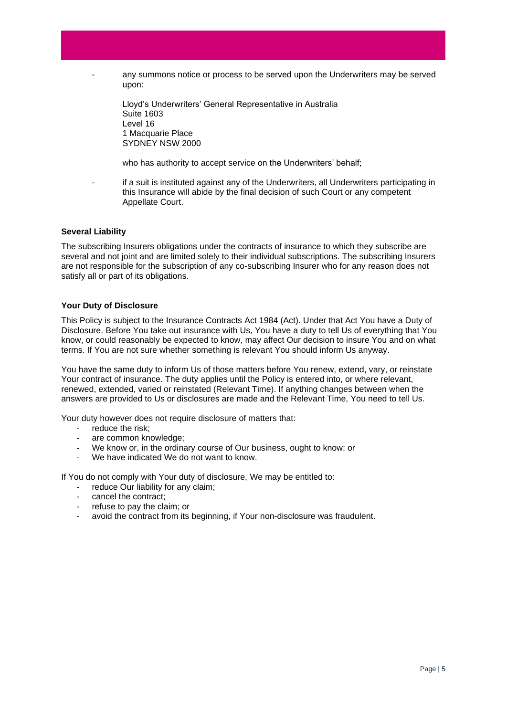any summons notice or process to be served upon the Underwriters may be served upon:

Lloyd's Underwriters' General Representative in Australia Suite 1603 Level 16 1 Macquarie Place SYDNEY NSW 2000

who has authority to accept service on the Underwriters' behalf;

if a suit is instituted against any of the Underwriters, all Underwriters participating in this Insurance will abide by the final decision of such Court or any competent Appellate Court.

#### <span id="page-12-0"></span>**Several Liability**

The subscribing Insurers obligations under the contracts of insurance to which they subscribe are several and not joint and are limited solely to their individual subscriptions. The subscribing Insurers are not responsible for the subscription of any co-subscribing Insurer who for any reason does not satisfy all or part of its obligations.

#### <span id="page-12-1"></span>**Your Duty of Disclosure**

This Policy is subject to the Insurance Contracts Act 1984 (Act). Under that Act You have a Duty of Disclosure. Before You take out insurance with Us, You have a duty to tell Us of everything that You know, or could reasonably be expected to know, may affect Our decision to insure You and on what terms. If You are not sure whether something is relevant You should inform Us anyway.

You have the same duty to inform Us of those matters before You renew, extend, vary, or reinstate Your contract of insurance. The duty applies until the Policy is entered into, or where relevant, renewed, extended, varied or reinstated (Relevant Time). If anything changes between when the answers are provided to Us or disclosures are made and the Relevant Time, You need to tell Us.

Your duty however does not require disclosure of matters that:

- reduce the risk;
- are common knowledge;
- We know or, in the ordinary course of Our business, ought to know; or
- We have indicated We do not want to know.

If You do not comply with Your duty of disclosure, We may be entitled to:

- reduce Our liability for any claim;
- cancel the contract:
- refuse to pay the claim; or
- avoid the contract from its beginning, if Your non-disclosure was fraudulent.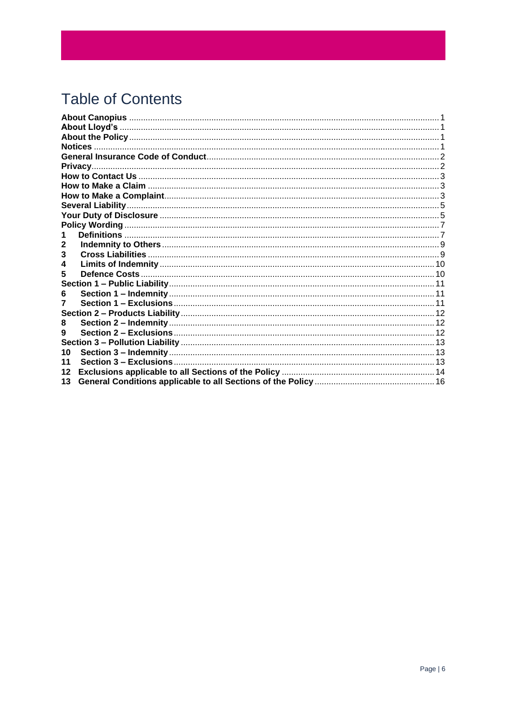# **Table of Contents**

| 1  |  |
|----|--|
| 2  |  |
|    |  |
|    |  |
| 5  |  |
|    |  |
| 6  |  |
|    |  |
|    |  |
| 8  |  |
| 9  |  |
|    |  |
| 10 |  |
| 11 |  |
| 12 |  |
| 13 |  |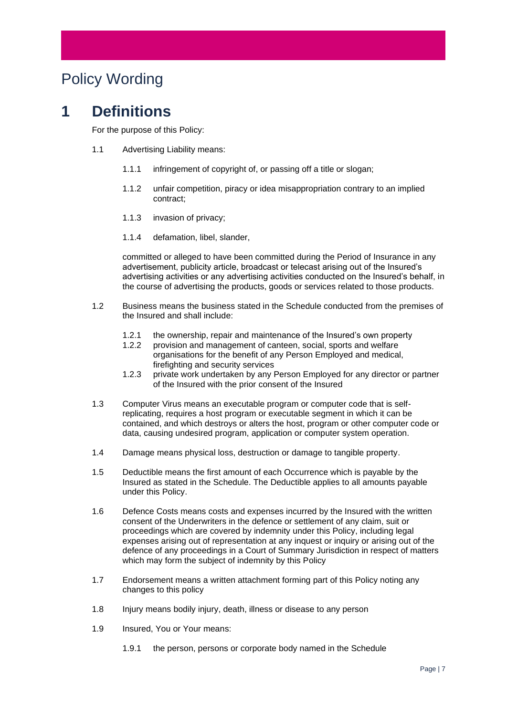# <span id="page-14-0"></span>Policy Wording

### <span id="page-14-1"></span>**1 Definitions**

For the purpose of this Policy:

- 1.1 Advertising Liability means:
	- 1.1.1 infringement of copyright of, or passing off a title or slogan;
	- 1.1.2 unfair competition, piracy or idea misappropriation contrary to an implied contract;
	- 1.1.3 invasion of privacy;
	- 1.1.4 defamation, libel, slander,

committed or alleged to have been committed during the Period of Insurance in any advertisement, publicity article, broadcast or telecast arising out of the Insured's advertising activities or any advertising activities conducted on the Insured's behalf, in the course of advertising the products, goods or services related to those products.

- 1.2 Business means the business stated in the Schedule conducted from the premises of the Insured and shall include:
	- 1.2.1 the ownership, repair and maintenance of the Insured's own property
	- 1.2.2 provision and management of canteen, social, sports and welfare organisations for the benefit of any Person Employed and medical, firefighting and security services
	- 1.2.3 private work undertaken by any Person Employed for any director or partner of the Insured with the prior consent of the Insured
- 1.3 Computer Virus means an executable program or computer code that is selfreplicating, requires a host program or executable segment in which it can be contained, and which destroys or alters the host, program or other computer code or data, causing undesired program, application or computer system operation.
- 1.4 Damage means physical loss, destruction or damage to tangible property.
- 1.5 Deductible means the first amount of each Occurrence which is payable by the Insured as stated in the Schedule. The Deductible applies to all amounts payable under this Policy.
- 1.6 Defence Costs means costs and expenses incurred by the Insured with the written consent of the Underwriters in the defence or settlement of any claim, suit or proceedings which are covered by indemnity under this Policy, including legal expenses arising out of representation at any inquest or inquiry or arising out of the defence of any proceedings in a Court of Summary Jurisdiction in respect of matters which may form the subject of indemnity by this Policy
- 1.7 Endorsement means a written attachment forming part of this Policy noting any changes to this policy
- 1.8 Injury means bodily injury, death, illness or disease to any person
- 1.9 Insured, You or Your means:
	- 1.9.1 the person, persons or corporate body named in the Schedule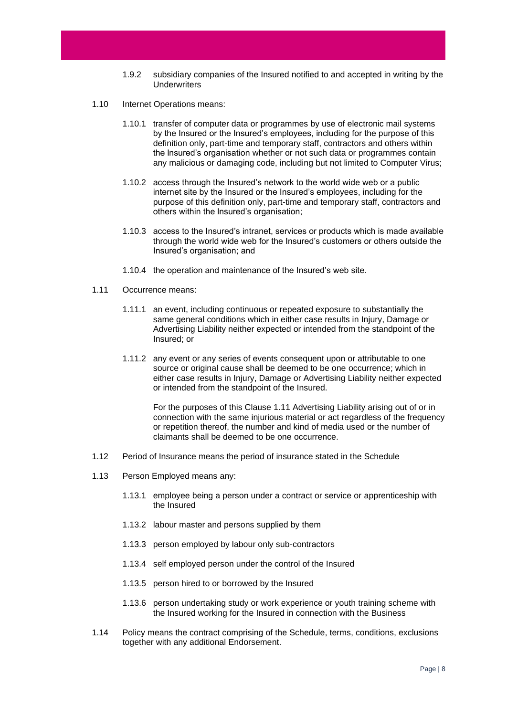- 1.9.2 subsidiary companies of the Insured notified to and accepted in writing by the **Underwriters**
- 1.10 Internet Operations means:
	- 1.10.1 transfer of computer data or programmes by use of electronic mail systems by the Insured or the Insured's employees, including for the purpose of this definition only, part-time and temporary staff, contractors and others within the lnsured's organisation whether or not such data or programmes contain any malicious or damaging code, including but not limited to Computer Virus;
	- 1.10.2 access through the Insured's network to the world wide web or a public internet site by the Insured or the Insured's employees, including for the purpose of this definition only, part-time and temporary staff, contractors and others within the lnsured's organisation;
	- 1.10.3 access to the Insured's intranet, services or products which is made available through the world wide web for the Insured's customers or others outside the Insured's organisation; and
	- 1.10.4 the operation and maintenance of the Insured's web site.
- 1.11 Occurrence means:
	- 1.11.1 an event, including continuous or repeated exposure to substantially the same general conditions which in either case results in Injury, Damage or Advertising Liability neither expected or intended from the standpoint of the Insured; or
	- 1.11.2 any event or any series of events consequent upon or attributable to one source or original cause shall be deemed to be one occurrence; which in either case results in Injury, Damage or Advertising Liability neither expected or intended from the standpoint of the Insured.

For the purposes of this Clause 1.11 Advertising Liability arising out of or in connection with the same injurious material or act regardless of the frequency or repetition thereof, the number and kind of media used or the number of claimants shall be deemed to be one occurrence.

- 1.12 Period of Insurance means the period of insurance stated in the Schedule
- 1.13 Person Employed means any:
	- 1.13.1 employee being a person under a contract or service or apprenticeship with the Insured
	- 1.13.2 labour master and persons supplied by them
	- 1.13.3 person employed by labour only sub-contractors
	- 1.13.4 self employed person under the control of the Insured
	- 1.13.5 person hired to or borrowed by the Insured
	- 1.13.6 person undertaking study or work experience or youth training scheme with the Insured working for the Insured in connection with the Business
- 1.14 Policy means the contract comprising of the Schedule, terms, conditions, exclusions together with any additional Endorsement.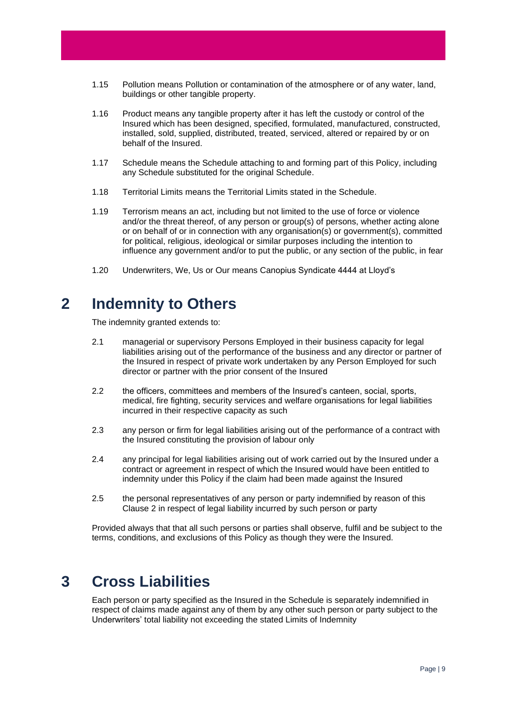- 1.15 Pollution means Pollution or contamination of the atmosphere or of any water, land, buildings or other tangible property.
- 1.16 Product means any tangible property after it has left the custody or control of the Insured which has been designed, specified, formulated, manufactured, constructed, installed, sold, supplied, distributed, treated, serviced, altered or repaired by or on behalf of the Insured.
- 1.17 Schedule means the Schedule attaching to and forming part of this Policy, including any Schedule substituted for the original Schedule.
- 1.18 Territorial Limits means the Territorial Limits stated in the Schedule.
- 1.19 Terrorism means an act, including but not limited to the use of force or violence and/or the threat thereof, of any person or group(s) of persons, whether acting alone or on behalf of or in connection with any organisation(s) or government(s), committed for political, religious, ideological or similar purposes including the intention to influence any government and/or to put the public, or any section of the public, in fear
- 1.20 Underwriters, We, Us or Our means Canopius Syndicate 4444 at Lloyd's

# <span id="page-16-0"></span>**2 Indemnity to Others**

The indemnity granted extends to:

- 2.1 managerial or supervisory Persons Employed in their business capacity for legal liabilities arising out of the performance of the business and any director or partner of the Insured in respect of private work undertaken by any Person Employed for such director or partner with the prior consent of the Insured
- 2.2 the officers, committees and members of the Insured's canteen, social, sports, medical, fire fighting, security services and welfare organisations for legal liabilities incurred in their respective capacity as such
- 2.3 any person or firm for legal liabilities arising out of the performance of a contract with the Insured constituting the provision of labour only
- 2.4 any principal for legal liabilities arising out of work carried out by the Insured under a contract or agreement in respect of which the Insured would have been entitled to indemnity under this Policy if the claim had been made against the Insured
- 2.5 the personal representatives of any person or party indemnified by reason of this Clause 2 in respect of legal liability incurred by such person or party

Provided always that that all such persons or parties shall observe, fulfil and be subject to the terms, conditions, and exclusions of this Policy as though they were the Insured.

### <span id="page-16-1"></span>**3 Cross Liabilities**

Each person or party specified as the Insured in the Schedule is separately indemnified in respect of claims made against any of them by any other such person or party subject to the Underwriters' total liability not exceeding the stated Limits of Indemnity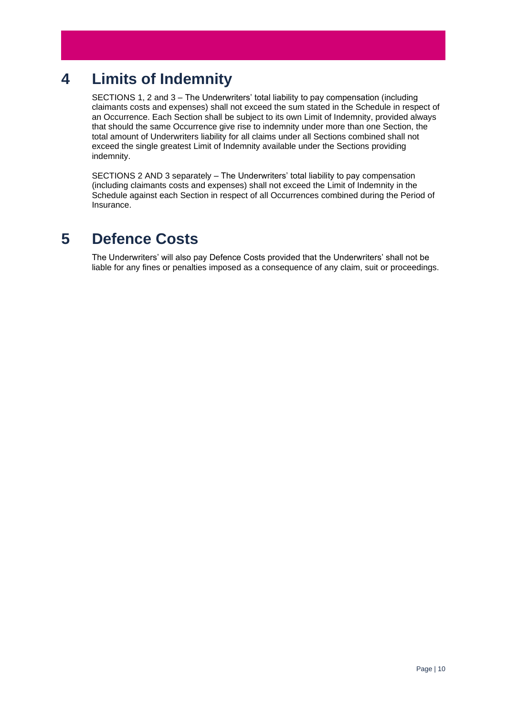# <span id="page-17-0"></span>**4 Limits of Indemnity**

SECTIONS 1, 2 and 3 – The Underwriters' total liability to pay compensation (including claimants costs and expenses) shall not exceed the sum stated in the Schedule in respect of an Occurrence. Each Section shall be subject to its own Limit of Indemnity, provided always that should the same Occurrence give rise to indemnity under more than one Section, the total amount of Underwriters liability for all claims under all Sections combined shall not exceed the single greatest Limit of Indemnity available under the Sections providing indemnity.

SECTIONS 2 AND 3 separately – The Underwriters' total liability to pay compensation (including claimants costs and expenses) shall not exceed the Limit of Indemnity in the Schedule against each Section in respect of all Occurrences combined during the Period of Insurance.

# <span id="page-17-1"></span>**5 Defence Costs**

The Underwriters' will also pay Defence Costs provided that the Underwriters' shall not be liable for any fines or penalties imposed as a consequence of any claim, suit or proceedings.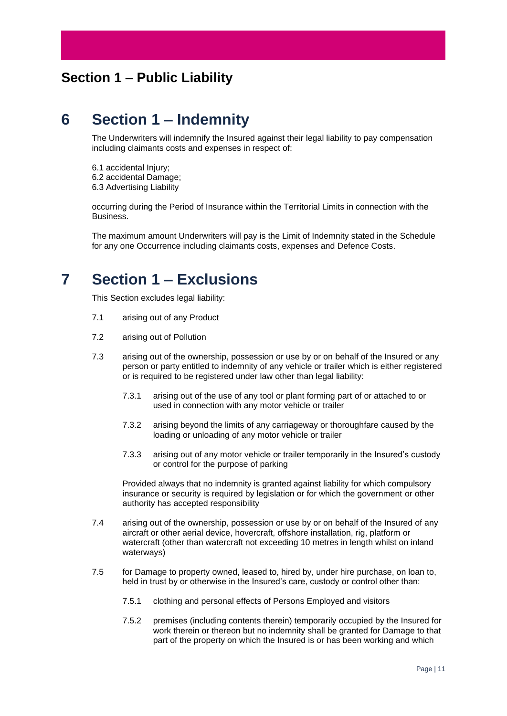### <span id="page-18-0"></span>**Section 1 – Public Liability**

### <span id="page-18-1"></span>**6 Section 1 – Indemnity**

The Underwriters will indemnify the Insured against their legal liability to pay compensation including claimants costs and expenses in respect of:

- 6.1 accidental Injury;
- 6.2 accidental Damage;
- 6.3 Advertising Liability

occurring during the Period of Insurance within the Territorial Limits in connection with the Business.

The maximum amount Underwriters will pay is the Limit of Indemnity stated in the Schedule for any one Occurrence including claimants costs, expenses and Defence Costs.

# <span id="page-18-2"></span>**7 Section 1 – Exclusions**

This Section excludes legal liability:

- 7.1 arising out of any Product
- 7.2 arising out of Pollution
- 7.3 arising out of the ownership, possession or use by or on behalf of the Insured or any person or party entitled to indemnity of any vehicle or trailer which is either registered or is required to be registered under law other than legal liability:
	- 7.3.1 arising out of the use of any tool or plant forming part of or attached to or used in connection with any motor vehicle or trailer
	- 7.3.2 arising beyond the limits of any carriageway or thoroughfare caused by the loading or unloading of any motor vehicle or trailer
	- 7.3.3 arising out of any motor vehicle or trailer temporarily in the Insured's custody or control for the purpose of parking

Provided always that no indemnity is granted against liability for which compulsory insurance or security is required by legislation or for which the government or other authority has accepted responsibility

- 7.4 arising out of the ownership, possession or use by or on behalf of the Insured of any aircraft or other aerial device, hovercraft, offshore installation, rig, platform or watercraft (other than watercraft not exceeding 10 metres in length whilst on inland waterways)
- 7.5 for Damage to property owned, leased to, hired by, under hire purchase, on loan to, held in trust by or otherwise in the Insured's care, custody or control other than:
	- 7.5.1 clothing and personal effects of Persons Employed and visitors
	- 7.5.2 premises (including contents therein) temporarily occupied by the Insured for work therein or thereon but no indemnity shall be granted for Damage to that part of the property on which the Insured is or has been working and which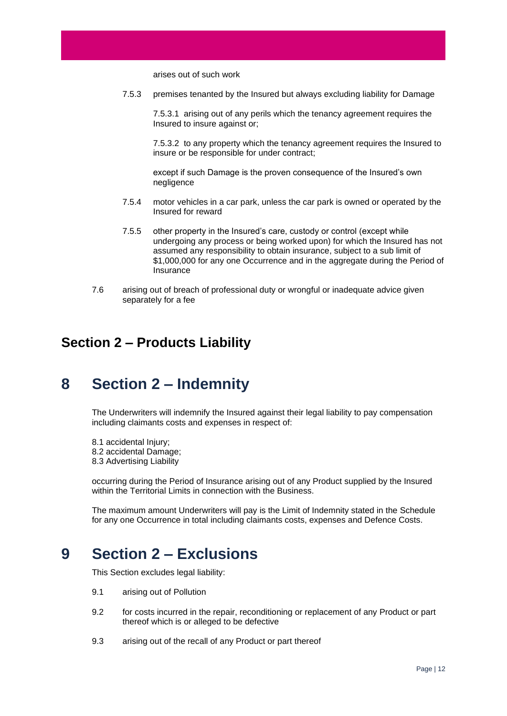arises out of such work

7.5.3 premises tenanted by the Insured but always excluding liability for Damage

7.5.3.1 arising out of any perils which the tenancy agreement requires the Insured to insure against or;

7.5.3.2 to any property which the tenancy agreement requires the Insured to insure or be responsible for under contract;

except if such Damage is the proven consequence of the Insured's own negligence

- 7.5.4 motor vehicles in a car park, unless the car park is owned or operated by the Insured for reward
- 7.5.5 other property in the Insured's care, custody or control (except while undergoing any process or being worked upon) for which the Insured has not assumed any responsibility to obtain insurance, subject to a sub limit of \$1,000,000 for any one Occurrence and in the aggregate during the Period of Insurance
- 7.6 arising out of breach of professional duty or wrongful or inadequate advice given separately for a fee

### <span id="page-19-0"></span>**Section 2 – Products Liability**

### <span id="page-19-1"></span>**8 Section 2 – Indemnity**

The Underwriters will indemnify the Insured against their legal liability to pay compensation including claimants costs and expenses in respect of:

8.1 accidental Injury; 8.2 accidental Damage; 8.3 Advertising Liability

occurring during the Period of Insurance arising out of any Product supplied by the Insured within the Territorial Limits in connection with the Business.

The maximum amount Underwriters will pay is the Limit of Indemnity stated in the Schedule for any one Occurrence in total including claimants costs, expenses and Defence Costs.

### <span id="page-19-2"></span>**9 Section 2 – Exclusions**

This Section excludes legal liability:

- 9.1 arising out of Pollution
- 9.2 for costs incurred in the repair, reconditioning or replacement of any Product or part thereof which is or alleged to be defective
- 9.3 arising out of the recall of any Product or part thereof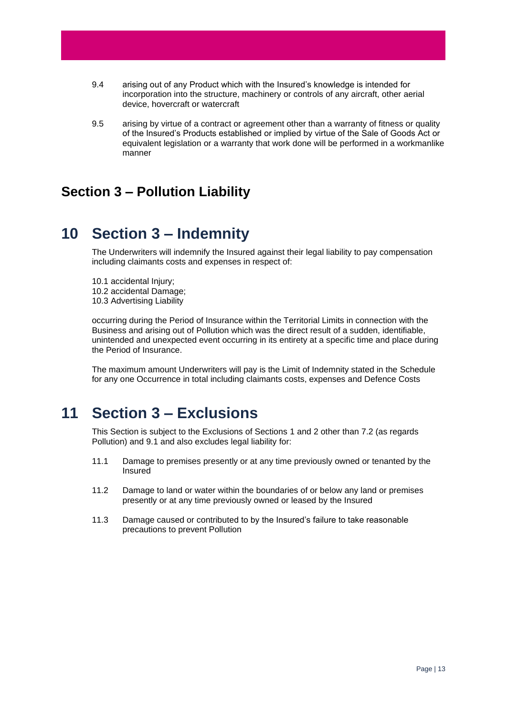- 9.4 arising out of any Product which with the Insured's knowledge is intended for incorporation into the structure, machinery or controls of any aircraft, other aerial device, hovercraft or watercraft
- 9.5 arising by virtue of a contract or agreement other than a warranty of fitness or quality of the Insured's Products established or implied by virtue of the Sale of Goods Act or equivalent legislation or a warranty that work done will be performed in a workmanlike manner

### <span id="page-20-0"></span>**Section 3 – Pollution Liability**

## <span id="page-20-1"></span>**10 Section 3 – Indemnity**

The Underwriters will indemnify the Insured against their legal liability to pay compensation including claimants costs and expenses in respect of:

10.1 accidental Injury; 10.2 accidental Damage; 10.3 Advertising Liability

occurring during the Period of Insurance within the Territorial Limits in connection with the Business and arising out of Pollution which was the direct result of a sudden, identifiable, unintended and unexpected event occurring in its entirety at a specific time and place during the Period of Insurance.

The maximum amount Underwriters will pay is the Limit of Indemnity stated in the Schedule for any one Occurrence in total including claimants costs, expenses and Defence Costs

# <span id="page-20-2"></span>**11 Section 3 – Exclusions**

This Section is subject to the Exclusions of Sections 1 and 2 other than 7.2 (as regards Pollution) and 9.1 and also excludes legal liability for:

- 11.1 Damage to premises presently or at any time previously owned or tenanted by the Insured
- 11.2 Damage to land or water within the boundaries of or below any land or premises presently or at any time previously owned or leased by the Insured
- 11.3 Damage caused or contributed to by the Insured's failure to take reasonable precautions to prevent Pollution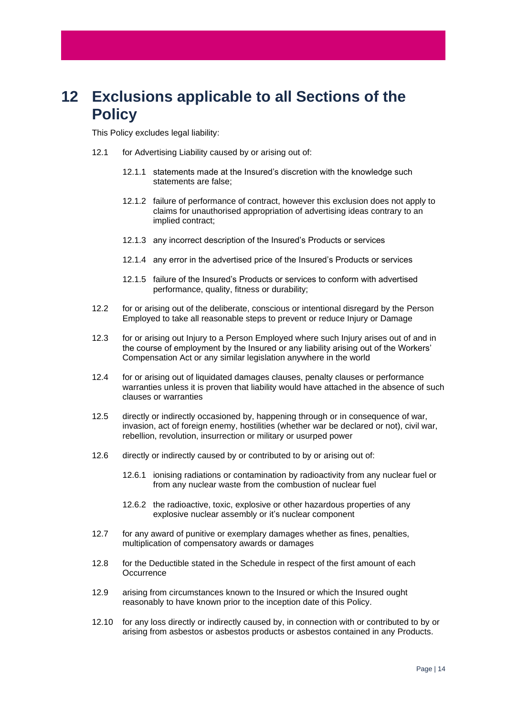# <span id="page-21-0"></span>**12 Exclusions applicable to all Sections of the Policy**

This Policy excludes legal liability:

- 12.1 for Advertising Liability caused by or arising out of:
	- 12.1.1 statements made at the Insured's discretion with the knowledge such statements are false;
	- 12.1.2 failure of performance of contract, however this exclusion does not apply to claims for unauthorised appropriation of advertising ideas contrary to an implied contract;
	- 12.1.3 any incorrect description of the Insured's Products or services
	- 12.1.4 any error in the advertised price of the Insured's Products or services
	- 12.1.5 failure of the Insured's Products or services to conform with advertised performance, quality, fitness or durability;
- 12.2 for or arising out of the deliberate, conscious or intentional disregard by the Person Employed to take all reasonable steps to prevent or reduce Injury or Damage
- 12.3 for or arising out Injury to a Person Employed where such Injury arises out of and in the course of employment by the Insured or any liability arising out of the Workers' Compensation Act or any similar legislation anywhere in the world
- 12.4 for or arising out of liquidated damages clauses, penalty clauses or performance warranties unless it is proven that liability would have attached in the absence of such clauses or warranties
- 12.5 directly or indirectly occasioned by, happening through or in consequence of war, invasion, act of foreign enemy, hostilities (whether war be declared or not), civil war, rebellion, revolution, insurrection or military or usurped power
- 12.6 directly or indirectly caused by or contributed to by or arising out of:
	- 12.6.1 ionising radiations or contamination by radioactivity from any nuclear fuel or from any nuclear waste from the combustion of nuclear fuel
	- 12.6.2 the radioactive, toxic, explosive or other hazardous properties of any explosive nuclear assembly or it's nuclear component
- 12.7 for any award of punitive or exemplary damages whether as fines, penalties, multiplication of compensatory awards or damages
- 12.8 for the Deductible stated in the Schedule in respect of the first amount of each **Occurrence**
- 12.9 arising from circumstances known to the Insured or which the Insured ought reasonably to have known prior to the inception date of this Policy.
- 12.10 for any loss directly or indirectly caused by, in connection with or contributed to by or arising from asbestos or asbestos products or asbestos contained in any Products.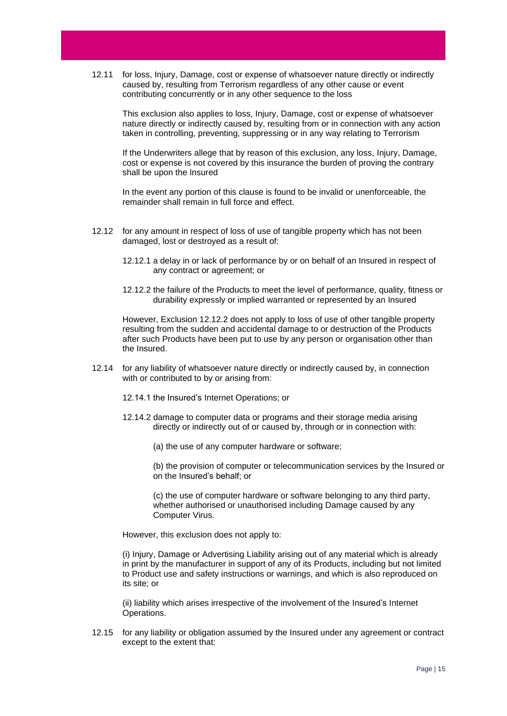12.11 for loss, Injury, Damage, cost or expense of whatsoever nature directly or indirectly caused by, resulting from Terrorism regardless of any other cause or event contributing concurrently or in any other sequence to the loss

This exclusion also applies to loss, Injury, Damage, cost or expense of whatsoever nature directly or indirectly caused by, resulting from or in connection with any action taken in controlling, preventing, suppressing or in any way relating to Terrorism

If the Underwriters allege that by reason of this exclusion, any loss, Injury, Damage, cost or expense is not covered by this insurance the burden of proving the contrary shall be upon the Insured

In the event any portion of this clause is found to be invalid or unenforceable, the remainder shall remain in full force and effect.

- 12.12 for any amount in respect of loss of use of tangible property which has not been damaged, lost or destroyed as a result of:
	- 12.12.1 a delay in or lack of performance by or on behalf of an Insured in respect of any contract or agreement; or
	- 12.12.2 the failure of the Products to meet the level of performance, quality, fitness or durability expressly or implied warranted or represented by an Insured

However, Exclusion 12.12.2 does not apply to loss of use of other tangible property resulting from the sudden and accidental damage to or destruction of the Products after such Products have been put to use by any person or organisation other than the Insured.

- 12.14 for any liability of whatsoever nature directly or indirectly caused by, in connection with or contributed to by or arising from:
	- 12.14.1 the Insured's Internet Operations; or
	- 12.14.2 damage to computer data or programs and their storage media arising directly or indirectly out of or caused by, through or in connection with:
		- (a) the use of any computer hardware or software;

(b) the provision of computer or telecommunication services by the Insured or on the Insured's behalf; or

(c) the use of computer hardware or software belonging to any third party, whether authorised or unauthorised including Damage caused by any Computer Virus.

However, this exclusion does not apply to:

(i) Injury, Damage or Advertising Liability arising out of any material which is already in print by the manufacturer in support of any of its Products, including but not limited to Product use and safety instructions or warnings, and which is also reproduced on its site; or

(ii) liability which arises irrespective of the involvement of the Insured's Internet Operations.

12.15 for any liability or obligation assumed by the Insured under any agreement or contract except to the extent that: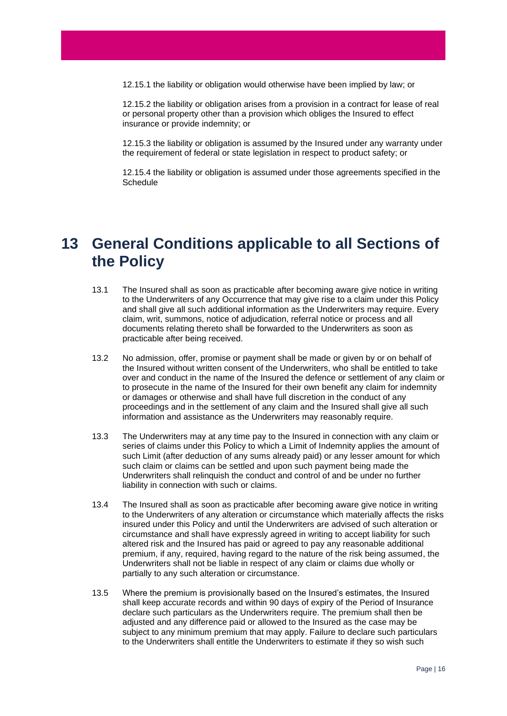12.15.1 the liability or obligation would otherwise have been implied by law; or

12.15.2 the liability or obligation arises from a provision in a contract for lease of real or personal property other than a provision which obliges the Insured to effect insurance or provide indemnity; or

12.15.3 the liability or obligation is assumed by the Insured under any warranty under the requirement of federal or state legislation in respect to product safety; or

12.15.4 the liability or obligation is assumed under those agreements specified in the **Schedule** 

# <span id="page-23-0"></span>**13 General Conditions applicable to all Sections of the Policy**

- 13.1 The Insured shall as soon as practicable after becoming aware give notice in writing to the Underwriters of any Occurrence that may give rise to a claim under this Policy and shall give all such additional information as the Underwriters may require. Every claim, writ, summons, notice of adjudication, referral notice or process and all documents relating thereto shall be forwarded to the Underwriters as soon as practicable after being received.
- 13.2 No admission, offer, promise or payment shall be made or given by or on behalf of the Insured without written consent of the Underwriters, who shall be entitled to take over and conduct in the name of the Insured the defence or settlement of any claim or to prosecute in the name of the Insured for their own benefit any claim for indemnity or damages or otherwise and shall have full discretion in the conduct of any proceedings and in the settlement of any claim and the Insured shall give all such information and assistance as the Underwriters may reasonably require.
- 13.3 The Underwriters may at any time pay to the Insured in connection with any claim or series of claims under this Policy to which a Limit of Indemnity applies the amount of such Limit (after deduction of any sums already paid) or any lesser amount for which such claim or claims can be settled and upon such payment being made the Underwriters shall relinquish the conduct and control of and be under no further liability in connection with such or claims.
- 13.4 The Insured shall as soon as practicable after becoming aware give notice in writing to the Underwriters of any alteration or circumstance which materially affects the risks insured under this Policy and until the Underwriters are advised of such alteration or circumstance and shall have expressly agreed in writing to accept liability for such altered risk and the Insured has paid or agreed to pay any reasonable additional premium, if any, required, having regard to the nature of the risk being assumed, the Underwriters shall not be liable in respect of any claim or claims due wholly or partially to any such alteration or circumstance.
- 13.5 Where the premium is provisionally based on the Insured's estimates, the Insured shall keep accurate records and within 90 days of expiry of the Period of Insurance declare such particulars as the Underwriters require. The premium shall then be adjusted and any difference paid or allowed to the Insured as the case may be subject to any minimum premium that may apply. Failure to declare such particulars to the Underwriters shall entitle the Underwriters to estimate if they so wish such